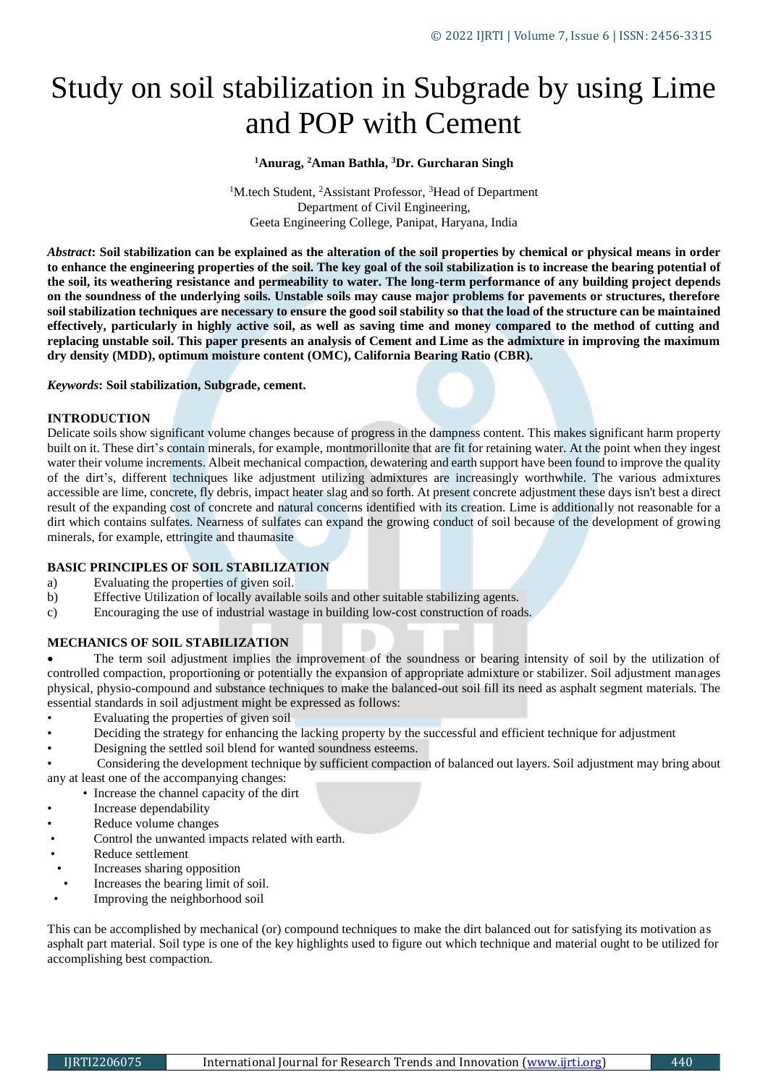# Study on soil stabilization in Subgrade by using Lime and POP with Cement

#### **<sup>1</sup>Anurag, <sup>2</sup>Aman Bathla, <sup>3</sup>Dr. Gurcharan Singh**

<sup>1</sup>M.tech Student, <sup>2</sup>Assistant Professor, <sup>3</sup>Head of Department Department of Civil Engineering, Geeta Engineering College, Panipat, Haryana, India

*Abstract***: Soil stabilization can be explained as the alteration of the soil properties by chemical or physical means in order to enhance the engineering properties of the soil. The key goal of the soil stabilization is to increase the bearing potential of the soil, its weathering resistance and permeability to water. The long-term performance of any building project depends on the soundness of the underlying soils. Unstable soils may cause major problems for pavements or structures, therefore soil stabilization techniques are necessary to ensure the good soil stability so that the load of the structure can be maintained effectively, particularly in highly active soil, as well as saving time and money compared to the method of cutting and replacing unstable soil. This paper presents an analysis of Cement and Lime as the admixture in improving the maximum dry density (MDD), optimum moisture content (OMC), California Bearing Ratio (CBR).**

*Keywords***: Soil stabilization, Subgrade, cement.**

#### **INTRODUCTION**

Delicate soils show significant volume changes because of progress in the dampness content. This makes significant harm property built on it. These dirt's contain minerals, for example, montmorillonite that are fit for retaining water. At the point when they ingest water their volume increments. Albeit mechanical compaction, dewatering and earth support have been found to improve the quality of the dirt's, different techniques like adjustment utilizing admixtures are increasingly worthwhile. The various admixtures accessible are lime, concrete, fly debris, impact heater slag and so forth. At present concrete adjustment these days isn't best a direct result of the expanding cost of concrete and natural concerns identified with its creation. Lime is additionally not reasonable for a dirt which contains sulfates. Nearness of sulfates can expand the growing conduct of soil because of the development of growing minerals, for example, ettringite and thaumasite

#### **BASIC PRINCIPLES OF SOIL STABILIZATION**

- a) Evaluating the properties of given soil.
- b) Effective Utilization of locally available soils and other suitable stabilizing agents.
- c) Encouraging the use of industrial wastage in building low-cost construction of roads.

#### **MECHANICS OF SOIL STABILIZATION**

 The term soil adjustment implies the improvement of the soundness or bearing intensity of soil by the utilization of controlled compaction, proportioning or potentially the expansion of appropriate admixture or stabilizer. Soil adjustment manages physical, physio-compound and substance techniques to make the balanced-out soil fill its need as asphalt segment materials. The essential standards in soil adjustment might be expressed as follows:

- Evaluating the properties of given soil
- Deciding the strategy for enhancing the lacking property by the successful and efficient technique for adjustment
- Designing the settled soil blend for wanted soundness esteems.
- Considering the development technique by sufficient compaction of balanced out layers. Soil adjustment may bring about any at least one of the accompanying changes:
	- Increase the channel capacity of the dirt
- Increase dependability
- Reduce volume changes
- Control the unwanted impacts related with earth.
- Reduce settlement
- Increases sharing opposition
- Increases the bearing limit of soil.
- Improving the neighborhood soil

This can be accomplished by mechanical (or) compound techniques to make the dirt balanced out for satisfying its motivation as asphalt part material. Soil type is one of the key highlights used to figure out which technique and material ought to be utilized for accomplishing best compaction.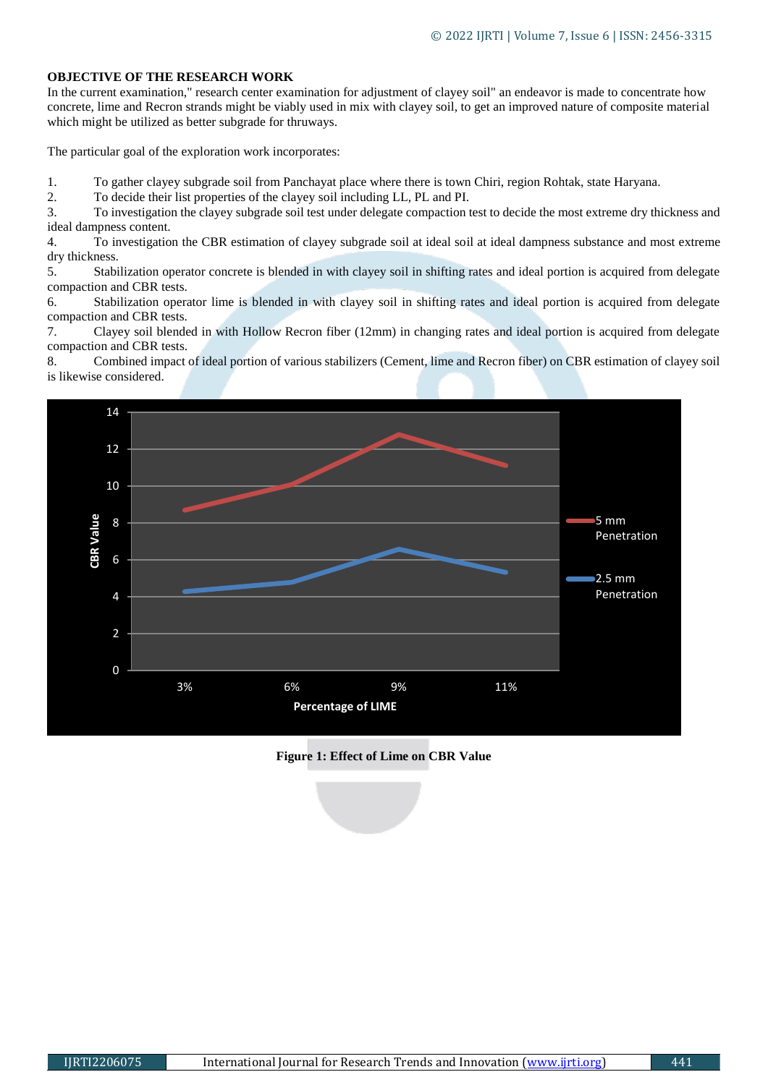## **OBJECTIVE OF THE RESEARCH WORK**

In the current examination," research center examination for adjustment of clayey soil" an endeavor is made to concentrate how concrete, lime and Recron strands might be viably used in mix with clayey soil, to get an improved nature of composite material which might be utilized as better subgrade for thruways.

The particular goal of the exploration work incorporates:

1. To gather clayey subgrade soil from Panchayat place where there is town Chiri, region Rohtak, state Haryana.

2. To decide their list properties of the clayey soil including LL, PL and PI.

3. To investigation the clayey subgrade soil test under delegate compaction test to decide the most extreme dry thickness and ideal dampness content.

4. To investigation the CBR estimation of clayey subgrade soil at ideal soil at ideal dampness substance and most extreme dry thickness.

5. Stabilization operator concrete is blended in with clayey soil in shifting rates and ideal portion is acquired from delegate compaction and CBR tests.

6. Stabilization operator lime is blended in with clayey soil in shifting rates and ideal portion is acquired from delegate compaction and CBR tests.

7. Clayey soil blended in with Hollow Recron fiber (12mm) in changing rates and ideal portion is acquired from delegate compaction and CBR tests.

8. Combined impact of ideal portion of various stabilizers (Cement, lime and Recron fiber) on CBR estimation of clayey soil is likewise considered.



**Figure 1: Effect of Lime on CBR Value**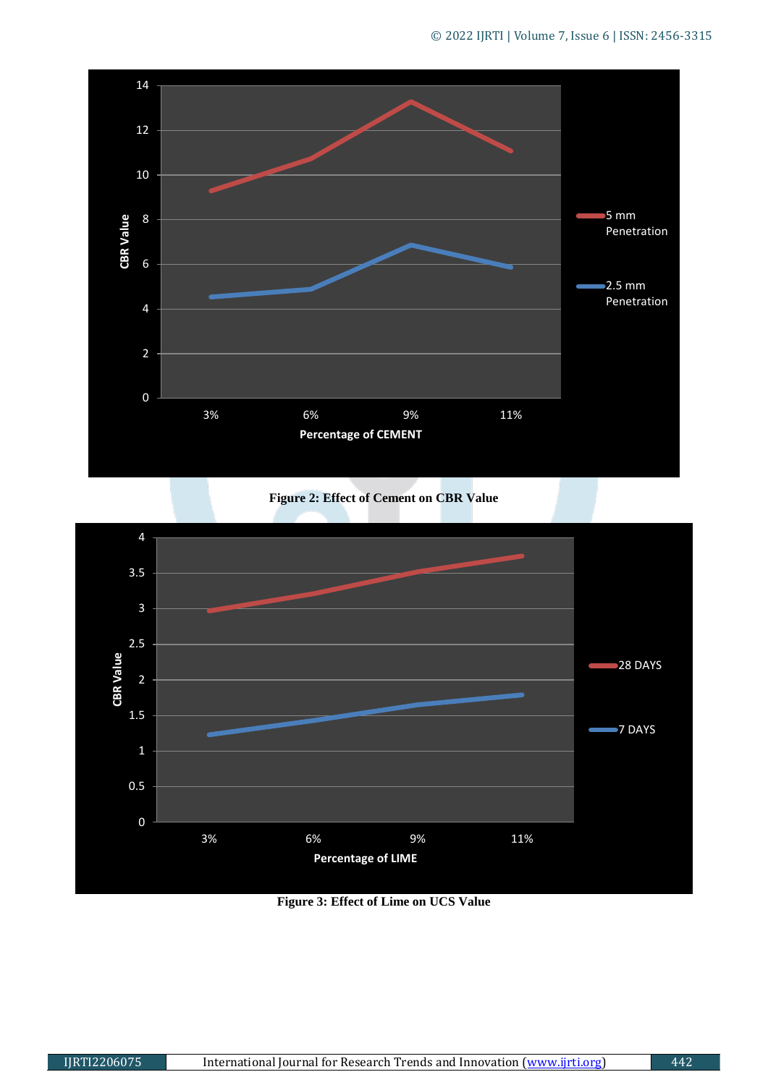

**Figure 2: Effect of Cement on CBR Value** 



**Figure 3: Effect of Lime on UCS Value**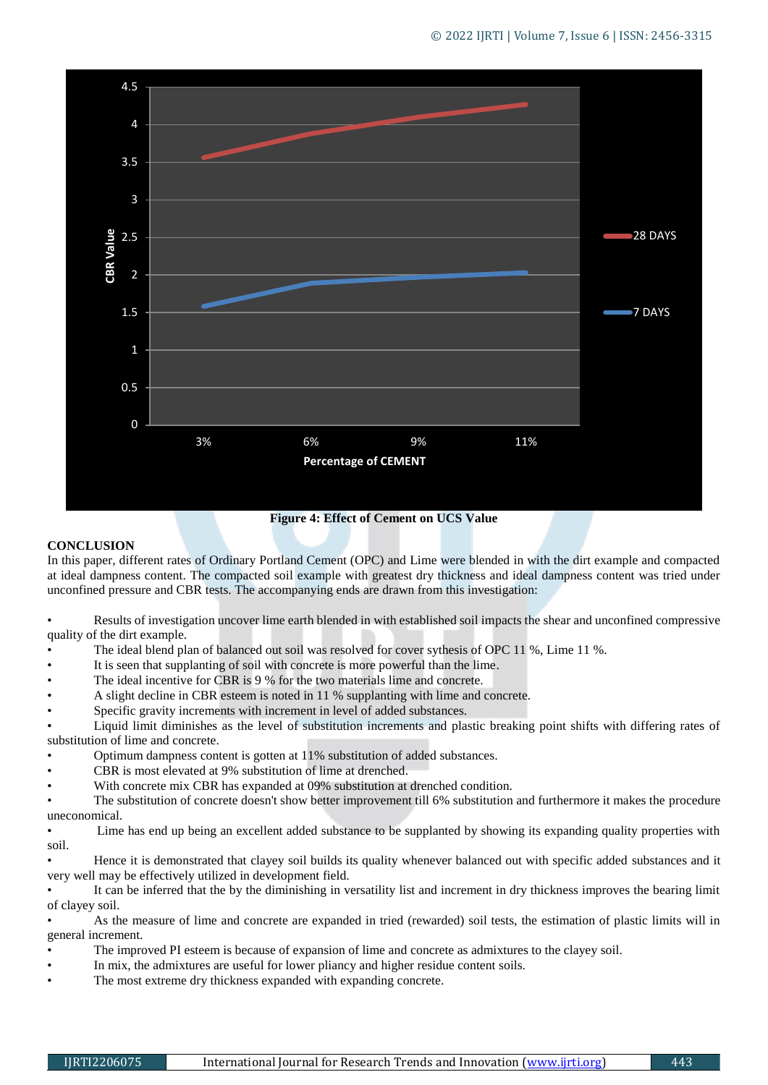

**Figure 4: Effect of Cement on UCS Value**

#### **CONCLUSION**

In this paper, different rates of Ordinary Portland Cement (OPC) and Lime were blended in with the dirt example and compacted at ideal dampness content. The compacted soil example with greatest dry thickness and ideal dampness content was tried under unconfined pressure and CBR tests. The accompanying ends are drawn from this investigation:

• Results of investigation uncover lime earth blended in with established soil impacts the shear and unconfined compressive quality of the dirt example.

- The ideal blend plan of balanced out soil was resolved for cover sythesis of OPC 11 %, Lime 11 %.
- It is seen that supplanting of soil with concrete is more powerful than the lime.
- The ideal incentive for CBR is 9 % for the two materials lime and concrete.
- A slight decline in CBR esteem is noted in 11 % supplanting with lime and concrete.
- Specific gravity increments with increment in level of added substances.

• Liquid limit diminishes as the level of substitution increments and plastic breaking point shifts with differing rates of substitution of lime and concrete.

- Optimum dampness content is gotten at 11% substitution of added substances.
- CBR is most elevated at 9% substitution of lime at drenched.
- With concrete mix CBR has expanded at 09% substitution at drenched condition.

• The substitution of concrete doesn't show better improvement till 6% substitution and furthermore it makes the procedure uneconomical.

Lime has end up being an excellent added substance to be supplanted by showing its expanding quality properties with soil.

• Hence it is demonstrated that clayey soil builds its quality whenever balanced out with specific added substances and it very well may be effectively utilized in development field.

It can be inferred that the by the diminishing in versatility list and increment in dry thickness improves the bearing limit of clayey soil.

• As the measure of lime and concrete are expanded in tried (rewarded) soil tests, the estimation of plastic limits will in general increment.

- The improved PI esteem is because of expansion of lime and concrete as admixtures to the clayey soil.
- In mix, the admixtures are useful for lower pliancy and higher residue content soils.
- The most extreme dry thickness expanded with expanding concrete.